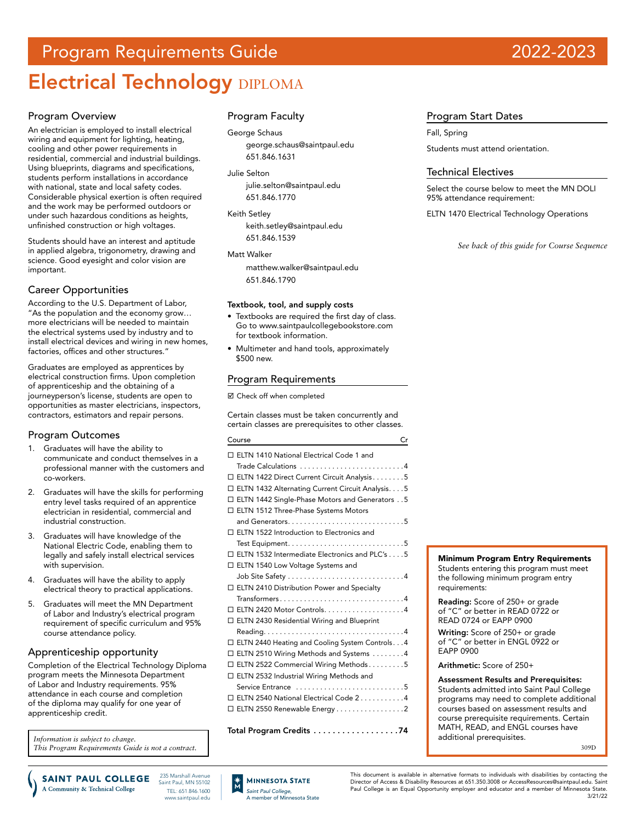# Program Requirements Guide 2022-2023

# Electrical Technology DIPLOMA

#### Program Overview

An electrician is employed to install electrical wiring and equipment for lighting, heating, cooling and other power requirements in residential, commercial and industrial buildings. Using blueprints, diagrams and specifications, students perform installations in accordance with national, state and local safety codes. Considerable physical exertion is often required and the work may be performed outdoors or under such hazardous conditions as heights, unfinished construction or high voltages.

Students should have an interest and aptitude in applied algebra, trigonometry, drawing and science. Good eyesight and color vision are important.

### Career Opportunities

According to the U.S. Department of Labor, "As the population and the economy grow… more electricians will be needed to maintain the electrical systems used by industry and to install electrical devices and wiring in new homes, factories, offices and other structures.

Graduates are employed as apprentices by electrical construction firms. Upon completion of apprenticeship and the obtaining of a journeyperson's license, students are open to opportunities as master electricians, inspectors, contractors, estimators and repair persons.

## Program Outcomes

- 1. Graduates will have the ability to communicate and conduct themselves in a professional manner with the customers and co-workers.
- 2. Graduates will have the skills for performing entry level tasks required of an apprentice electrician in residential, commercial and industrial construction.
- 3. Graduates will have knowledge of the National Electric Code, enabling them to legally and safely install electrical services with supervision.
- 4. Graduates will have the ability to apply electrical theory to practical applications.
- 5. Graduates will meet the MN Department of Labor and Industry's electrical program requirement of specific curriculum and 95% course attendance policy.

#### Apprenticeship opportunity

Completion of the Electrical Technology Diploma program meets the Minnesota Department of Labor and Industry requirements. 95% attendance in each course and completion of the diploma may qualify for one year of apprenticeship credit.

*Information is subject to change. This Program Requirements Guide is not a contract.*

## Program Faculty

George Schaus [george.schaus@saintpaul.edu](mailto:george.schaus%40saintpaul.edu?subject=) 651.846.1631

Julie Selton [julie.selton@saintpaul.edu](mailto:julie.selton%40saintpaul.edu?subject=) 651.846.1770

Keith Setley [keith.setley@saintpaul.edu](mailto:keith.setley%40saintpaul.edu?subject=) 651.846.1539

Matt Walker matthew.walker@saintpaul.edu

651.846.1790

#### Textbook, tool, and supply costs

- Textbooks are required the first day of class. Go to www.saintpaulcollegebookstore.com for textbook information.
- Multimeter and hand tools, approximately \$500 new.

#### Program Requirements

■ Check off when completed

Certain classes must be taken concurrently and certain classes are prerequisites to other classes.

| Course                                              | Cr |
|-----------------------------------------------------|----|
| □ ELTN 1410 National Electrical Code 1 and          |    |
| Trade Calculations 4                                |    |
| □ ELTN 1422 Direct Current Circuit Analysis. 5      |    |
| □ ELTN 1432 Alternating Current Circuit Analysis. 5 |    |
| □ ELTN 1442 Single-Phase Motors and Generators 5    |    |
| □ ELTN 1512 Three-Phase Systems Motors              |    |
|                                                     |    |
| □ ELTN 1522 Introduction to Electronics and         |    |
|                                                     |    |
| □ ELTN 1532 Intermediate Electronics and PLC's 5    |    |
| □ ELTN 1540 Low Voltage Systems and                 |    |
|                                                     |    |
| □ ELTN 2410 Distribution Power and Specialty        |    |
| Transformers4                                       |    |
| $\Box$ ELTN 2420 Motor Controls4                    |    |
| $\Box$ ELTN 2430 Residential Wiring and Blueprint   |    |
|                                                     |    |
| □ ELTN 2440 Heating and Cooling System Controls4    |    |
| □ ELTN 2510 Wiring Methods and Systems 4            |    |
| □ ELTN 2522 Commercial Wiring Methods5              |    |
| □ ELTN 2532 Industrial Wiring Methods and           |    |
| Service Entrance 5                                  |    |
| □ ELTN 2540 National Electrical Code 24             |    |
| □ ELTN 2550 Renewable Energy 2                      |    |
|                                                     |    |
| Total Program Credits 74                            |    |

## Program Start Dates

Fall, Spring

Students must attend orientation.

#### Technical Electives

Select the course below to meet the MN DOLI 95% attendance requirement:

ELTN 1470 Electrical Technology Operations

*See back of this guide for Course Sequence*

#### Minimum Program Entry Requirements

Students entering this program must meet the following minimum program entry requirements:

Reading: Score of 250+ or grade of "C" or better in READ 0722 or READ 0724 or EAPP 0900

Writing: Score of 250+ or grade of "C" or better in ENGL 0922 or EAPP 0900

Arithmetic: Score of 250+

Assessment Results and Prerequisites: Students admitted into Saint Paul College programs may need to complete additional courses based on assessment results and course prerequisite requirements. Certain MATH, READ, and ENGL courses have additional prerequisites.

309D

**SAINT PAUL COLLEGE** A Community & Technical College

235 Marshall Avenue Saint Paul, MN 55102 TEL: 651.846.1600 www.saintpaul.edu



This document is available in alternative formats to individuals with disabilities by contacting the Director of Access & Disability Resources at 651.350.3008 or AccessResources@saintpaul.edu. Saint Paul College is an Equal Opportunity employer and educator and a member of Minnesota State. 3/21/22